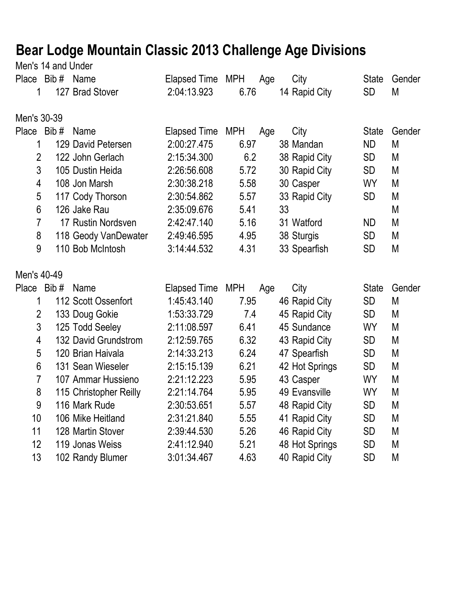## **Bear Lodge Mountain Classic 2013 Challenge Age Divisions**

|                | Men's 14 and Under |                        |                  |              |     |    |                                 |                        |        |
|----------------|--------------------|------------------------|------------------|--------------|-----|----|---------------------------------|------------------------|--------|
|                | Place Bib# Name    |                        | Elapsed Time MPH |              | Age |    | City                            | <b>State</b>           | Gender |
| 1              |                    | 127 Brad Stover        | 2:04:13.923      | 6.76         |     |    | 14 Rapid City                   | <b>SD</b>              | M      |
| Men's 30-39    |                    |                        |                  |              |     |    |                                 |                        |        |
|                |                    |                        |                  |              |     |    |                                 |                        |        |
| Place Bib#     |                    | Name                   | Elapsed Time MPH |              | Age |    | City                            | <b>State</b>           | Gender |
| 1              |                    | 129 David Petersen     | 2:00:27.475      | 6.97         |     |    | 38 Mandan                       | ND                     | M      |
| $\overline{2}$ |                    | 122 John Gerlach       | 2:15:34.300      | 6.2          |     |    | 38 Rapid City                   | <b>SD</b>              | M      |
| 3              |                    | 105 Dustin Heida       | 2:26:56.608      | 5.72         |     |    | 30 Rapid City                   | <b>SD</b>              | M      |
| 4              |                    | 108 Jon Marsh          | 2:30:38.218      | 5.58         |     |    | 30 Casper                       | <b>WY</b>              | M      |
| 5              |                    | 117 Cody Thorson       | 2:30:54.862      | 5.57         |     |    | 33 Rapid City                   | <b>SD</b>              | M      |
| 6              |                    | 126 Jake Rau           | 2:35:09.676      | 5.41         |     | 33 |                                 |                        | M      |
| $\overline{7}$ |                    | 17 Rustin Nordsven     | 2:42:47.140      | 5.16         |     |    | 31 Watford                      | <b>ND</b>              | M      |
| 8              |                    | 118 Geody VanDewater   | 2:49:46.595      | 4.95         |     |    | 38 Sturgis                      | <b>SD</b>              | M      |
| 9              |                    | 110 Bob McIntosh       | 3:14:44.532      | 4.31         |     |    | 33 Spearfish                    | <b>SD</b>              | M      |
| Men's 40-49    |                    |                        |                  |              |     |    |                                 |                        |        |
| Place Bib#     |                    | Name                   | Elapsed Time     | <b>MPH</b>   | Age |    | City                            | <b>State</b>           | Gender |
| 1              |                    | 112 Scott Ossenfort    | 1:45:43.140      | 7.95         |     |    | 46 Rapid City                   | <b>SD</b>              | M      |
| $\overline{2}$ |                    | 133 Doug Gokie         | 1:53:33.729      | 7.4          |     |    | 45 Rapid City                   | <b>SD</b>              | M      |
| 3              |                    | 125 Todd Seeley        | 2:11:08.597      | 6.41         |     |    | 45 Sundance                     | WY                     | M      |
| 4              |                    | 132 David Grundstrom   | 2:12:59.765      | 6.32         |     |    | 43 Rapid City                   | <b>SD</b>              | M      |
| 5              |                    | 120 Brian Haivala      | 2:14:33.213      | 6.24         |     |    | 47 Spearfish                    | <b>SD</b>              | M      |
| 6              |                    | 131 Sean Wieseler      | 2:15:15.139      | 6.21         |     |    | 42 Hot Springs                  | <b>SD</b>              | M      |
| 7              |                    | 107 Ammar Hussieno     | 2:21:12.223      | 5.95         |     |    | 43 Casper                       | <b>WY</b>              | M      |
| 8              |                    | 115 Christopher Reilly | 2:21:14.764      | 5.95         |     |    | 49 Evansville                   | WY                     | M      |
| 9              |                    | 116 Mark Rude          | 2:30:53.651      | 5.57         |     |    | 48 Rapid City                   | <b>SD</b>              | M      |
| 10             |                    | 106 Mike Heitland      | 2:31:21.840      | 5.55         |     |    | 41 Rapid City                   | <b>SD</b>              | M      |
| 11             |                    | 128 Martin Stover      | 2:39:44.530      | 5.26         |     |    | 46 Rapid City                   | <b>SD</b>              | M      |
|                |                    |                        |                  |              |     |    |                                 |                        |        |
|                |                    | 119 Jonas Weiss        | 2:41:12.940      |              |     |    |                                 |                        |        |
| 12<br>13       |                    | 102 Randy Blumer       | 3:01:34.467      | 5.21<br>4.63 |     |    | 48 Hot Springs<br>40 Rapid City | <b>SD</b><br><b>SD</b> | M<br>M |